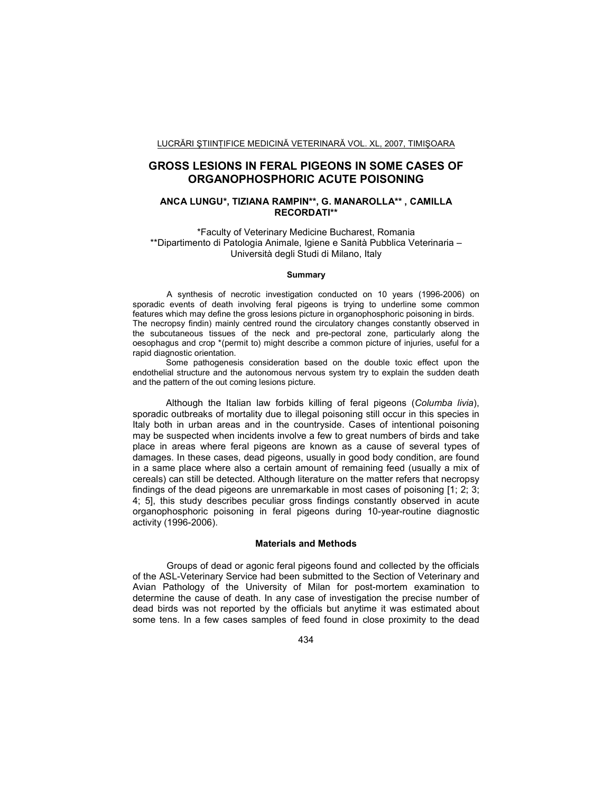# **GROSS LESIONS IN FERAL PIGEONS IN SOME CASES OF ORGANOPHOSPHORIC ACUTE POISONING**

## **ANCA LUNGU\*, TIZIANA RAMPIN\*\*, G. MANAROLLA\*\* , CAMILLA RECORDATI\*\***

\*Faculty of Veterinary Medicine Bucharest, Romania \*\*Dipartimento di Patologia Animale, Igiene e Sanità Pubblica Veterinaria – Università degli Studi di Milano, Italy

#### **Summary**

A synthesis of necrotic investigation conducted on 10 years (1996-2006) on sporadic events of death involving feral pigeons is trying to underline some common features which may define the gross lesions picture in organophosphoric poisoning in birds. The necropsy findin) mainly centred round the circulatory changes constantly observed in the subcutaneous tissues of the neck and pre-pectoral zone, particularly along the oesophagus and crop \*(permit to) might describe a common picture of injuries, useful for a rapid diagnostic orientation.

Some pathogenesis consideration based on the double toxic effect upon the endothelial structure and the autonomous nervous system try to explain the sudden death and the pattern of the out coming lesions picture.

Although the Italian law forbids killing of feral pigeons (*Columba livia*), sporadic outbreaks of mortality due to illegal poisoning still occur in this species in Italy both in urban areas and in the countryside. Cases of intentional poisoning may be suspected when incidents involve a few to great numbers of birds and take place in areas where feral pigeons are known as a cause of several types of damages. In these cases, dead pigeons, usually in good body condition, are found in a same place where also a certain amount of remaining feed (usually a mix of cereals) can still be detected. Although literature on the matter refers that necropsy findings of the dead pigeons are unremarkable in most cases of poisoning [1; 2; 3; 4; 5], this study describes peculiar gross findings constantly observed in acute organophosphoric poisoning in feral pigeons during 10-year-routine diagnostic activity (1996-2006).

#### **Materials and Methods**

Groups of dead or agonic feral pigeons found and collected by the officials of the ASL-Veterinary Service had been submitted to the Section of Veterinary and Avian Pathology of the University of Milan for post-mortem examination to determine the cause of death. In any case of investigation the precise number of dead birds was not reported by the officials but anytime it was estimated about some tens. In a few cases samples of feed found in close proximity to the dead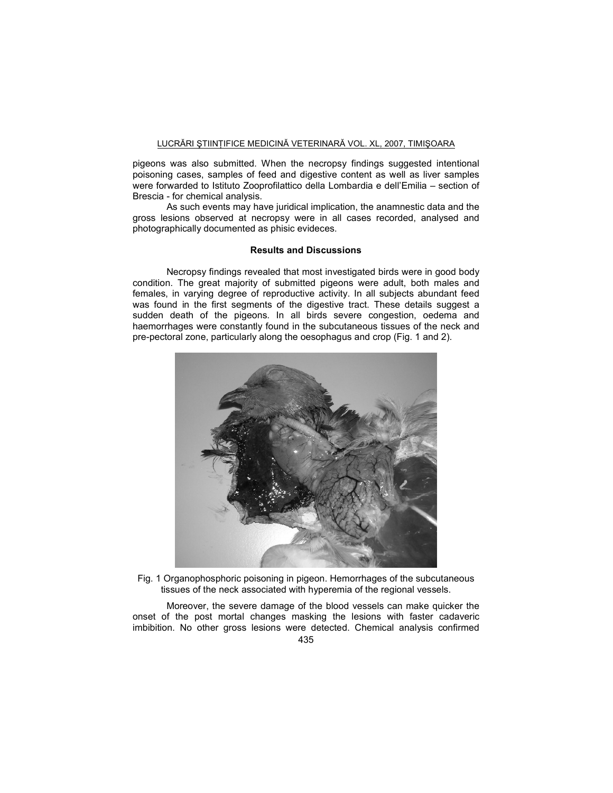pigeons was also submitted. When the necropsy findings suggested intentional poisoning cases, samples of feed and digestive content as well as liver samples were forwarded to Istituto Zooprofilattico della Lombardia e dell'Emilia – section of Brescia - for chemical analysis.

As such events may have juridical implication, the anamnestic data and the gross lesions observed at necropsy were in all cases recorded, analysed and photographically documented as phisic evideces.

#### **Results and Discussions**

Necropsy findings revealed that most investigated birds were in good body condition. The great majority of submitted pigeons were adult, both males and females, in varying degree of reproductive activity. In all subjects abundant feed was found in the first segments of the digestive tract. These details suggest a sudden death of the pigeons. In all birds severe congestion, oedema and haemorrhages were constantly found in the subcutaneous tissues of the neck and pre-pectoral zone, particularly along the oesophagus and crop (Fig. 1 and 2).



Fig. 1 Organophosphoric poisoning in pigeon. Hemorrhages of the subcutaneous tissues of the neck associated with hyperemia of the regional vessels.

Moreover, the severe damage of the blood vessels can make quicker the onset of the post mortal changes masking the lesions with faster cadaveric imbibition. No other gross lesions were detected. Chemical analysis confirmed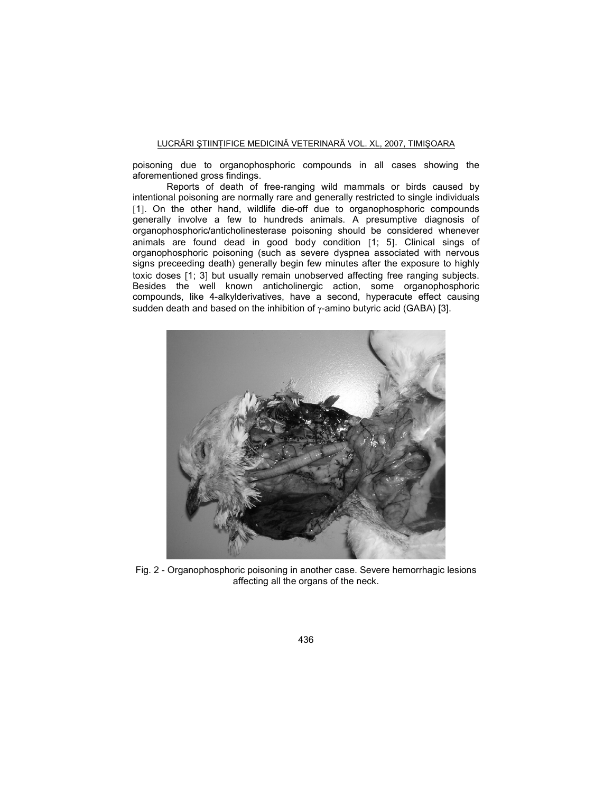poisoning due to organophosphoric compounds in all cases showing the aforementioned gross findings.

Reports of death of free-ranging wild mammals or birds caused by intentional poisoning are normally rare and generally restricted to single individuals [1]. On the other hand, wildlife die-off due to organophosphoric compounds generally involve a few to hundreds animals. A presumptive diagnosis of organophosphoric/anticholinesterase poisoning should be considered whenever animals are found dead in good body condition [1; 5]. Clinical sings of organophosphoric poisoning (such as severe dyspnea associated with nervous signs preceeding death) generally begin few minutes after the exposure to highly toxic doses [1; 3] but usually remain unobserved affecting free ranging subjects. Besides the well known anticholinergic action, some organophosphoric compounds, like 4-alkylderivatives, have a second, hyperacute effect causing sudden death and based on the inhibition of  $\gamma$ -amino butyric acid (GABA) [3].



Fig. 2 - Organophosphoric poisoning in another case. Severe hemorrhagic lesions affecting all the organs of the neck.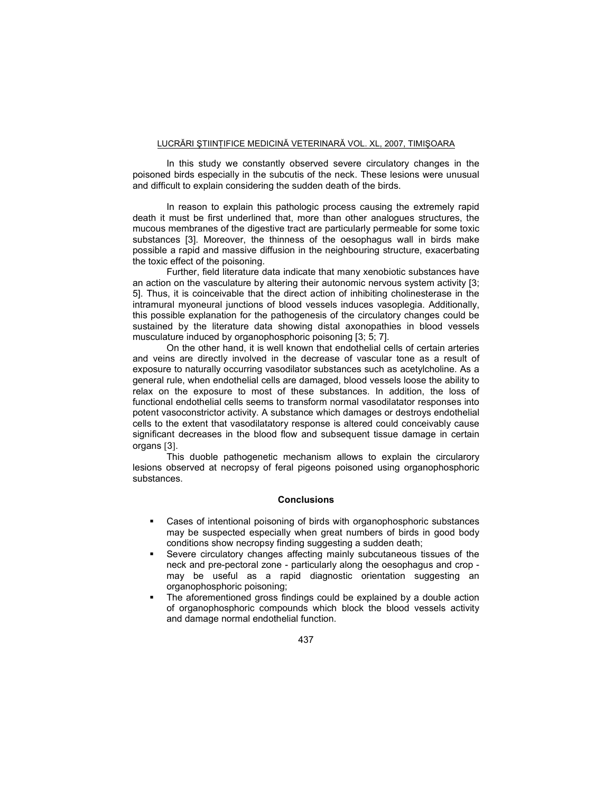In this study we constantly observed severe circulatory changes in the poisoned birds especially in the subcutis of the neck. These lesions were unusual and difficult to explain considering the sudden death of the birds.

In reason to explain this pathologic process causing the extremely rapid death it must be first underlined that, more than other analogues structures, the mucous membranes of the digestive tract are particularly permeable for some toxic substances [3]. Moreover, the thinness of the oesophagus wall in birds make possible a rapid and massive diffusion in the neighbouring structure, exacerbating the toxic effect of the poisoning.

Further, field literature data indicate that many xenobiotic substances have an action on the vasculature by altering their autonomic nervous system activity [3; 5]. Thus, it is coinceivable that the direct action of inhibiting cholinesterase in the intramural myoneural junctions of blood vessels induces vasoplegia. Additionally, this possible explanation for the pathogenesis of the circulatory changes could be sustained by the literature data showing distal axonopathies in blood vessels musculature induced by organophosphoric poisoning [3; 5; 7].

On the other hand, it is well known that endothelial cells of certain arteries and veins are directly involved in the decrease of vascular tone as a result of exposure to naturally occurring vasodilator substances such as acetylcholine. As a general rule, when endothelial cells are damaged, blood vessels loose the ability to relax on the exposure to most of these substances. In addition, the loss of functional endothelial cells seems to transform normal vasodilatator responses into potent vasoconstrictor activity. A substance which damages or destroys endothelial cells to the extent that vasodilatatory response is altered could conceivably cause significant decreases in the blood flow and subsequent tissue damage in certain organs [3].

This duoble pathogenetic mechanism allows to explain the circularory lesions observed at necropsy of feral pigeons poisoned using organophosphoric substances.

#### **Conclusions**

- Cases of intentional poisoning of birds with organophosphoric substances may be suspected especially when great numbers of birds in good body conditions show necropsy finding suggesting a sudden death;
- Severe circulatory changes affecting mainly subcutaneous tissues of the neck and pre-pectoral zone - particularly along the oesophagus and crop may be useful as a rapid diagnostic orientation suggesting an organophosphoric poisoning;
- The aforementioned gross findings could be explained by a double action of organophosphoric compounds which block the blood vessels activity and damage normal endothelial function.